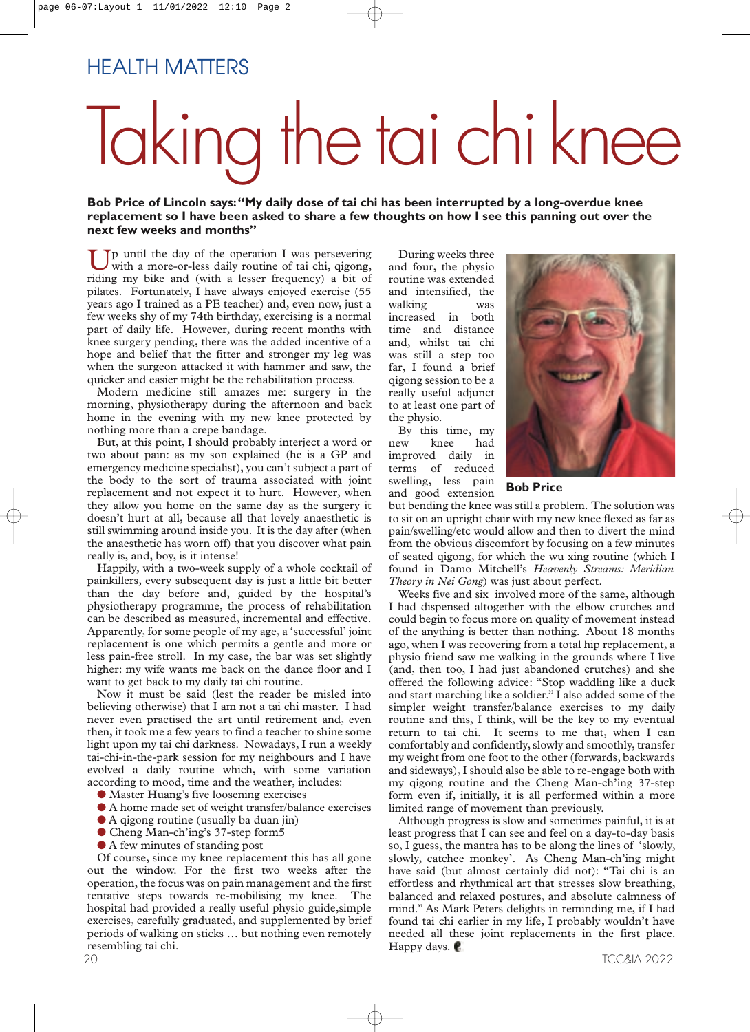# Taking the tai chiknee

**Bob Price of Lincoln says:"My daily dose of tai chi has been interrupted by a long-overdue knee replacement so I have been asked to share a few thoughts on how I see this panning out over the next few weeks and months"**

 $\mathsf{T}_p$  until the day of the operation I was persevering with a more-or-less daily routine of tai chi, qigong, riding my bike and (with a lesser frequency) a bit of pilates. Fortunately, I have always enjoyed exercise (55 years ago I trained as a PE teacher) and, even now, just a few weeks shy of my 74th birthday, exercising is a normal part of daily life. However, during recent months with knee surgery pending, there was the added incentive of a hope and belief that the fitter and stronger my leg was when the surgeon attacked it with hammer and saw, the quicker and easier might be the rehabilitation process.

Modern medicine still amazes me: surgery in the morning, physiotherapy during the afternoon and back home in the evening with my new knee protected by nothing more than a crepe bandage.

But, at this point, I should probably interject a word or two about pain: as my son explained (he is a GP and emergency medicine specialist), you can't subject a part of the body to the sort of trauma associated with joint replacement and not expect it to hurt. However, when they allow you home on the same day as the surgery it doesn't hurt at all, because all that lovely anaesthetic is still swimming around inside you. It is the day after (when the anaesthetic has worn off) that you discover what pain really is, and, boy, is it intense!

Happily, with a two-week supply of a whole cocktail of painkillers, every subsequent day is just a little bit better than the day before and, guided by the hospital's physiotherapy programme, the process of rehabilitation can be described as measured, incremental and effective. Apparently, for some people of my age, a 'successful' joint replacement is one which permits a gentle and more or less pain-free stroll. In my case, the bar was set slightly higher: my wife wants me back on the dance floor and I want to get back to my daily tai chi routine.

Now it must be said (lest the reader be misled into believing otherwise) that I am not a tai chi master. I had never even practised the art until retirement and, even then, it took me a few years to find a teacher to shine some light upon my tai chi darkness. Nowadays, I run a weekly tai-chi-in-the-park session for my neighbours and I have evolved a daily routine which, with some variation according to mood, time and the weather, includes:

- **●** Master Huang's five loosening exercises
- **●** A home made set of weight transfer/balance exercises
- **●** A qigong routine (usually ba duan jin)
- **●** Cheng Man-ch'ing's 37-step form5
- **●** A few minutes of standing post

Of course, since my knee replacement this has all gone out the window. For the first two weeks after the operation, the focus was on pain management and the first tentative steps towards re-mobilising my knee. The hospital had provided a really useful physio guide,simple exercises, carefully graduated, and supplemented by brief periods of walking on sticks … but nothing even remotely resembling tai chi.

During weeks three and four, the physio routine was extended and intensified, the walking was increased in both time and distance and, whilst tai chi was still a step too far, I found a brief qigong session to be a really useful adjunct to at least one part of the physio.

By this time, my<br>new knee had knee had improved daily in terms of reduced swelling, less pain and good extension



**Bob Price**

but bending the knee was still a problem. The solution was to sit on an upright chair with my new knee flexed as far as pain/swelling/etc would allow and then to divert the mind from the obvious discomfort by focusing on a few minutes of seated qigong, for which the wu xing routine (which I found in Damo Mitchell's *Heavenly Streams: Meridian Theory in Nei Gong*) was just about perfect.

Weeks five and six involved more of the same, although I had dispensed altogether with the elbow crutches and could begin to focus more on quality of movement instead of the anything is better than nothing. About 18 months ago, when I was recovering from a total hip replacement, a physio friend saw me walking in the grounds where I live (and, then too, I had just abandoned crutches) and she offered the following advice: "Stop waddling like a duck and start marching like a soldier." I also added some of the simpler weight transfer/balance exercises to my daily routine and this, I think, will be the key to my eventual return to tai chi. It seems to me that, when I can comfortably and confidently, slowly and smoothly, transfer my weight from one foot to the other (forwards, backwards and sideways), I should also be able to re-engage both with my qigong routine and the Cheng Man-ch'ing 37-step form even if, initially, it is all performed within a more limited range of movement than previously.

Although progress is slow and sometimes painful, it is at least progress that I can see and feel on a day-to-day basis so, I guess, the mantra has to be along the lines of 'slowly, slowly, catchee monkey'. As Cheng Man-ch'ing might have said (but almost certainly did not): "Tai chi is an effortless and rhythmical art that stresses slow breathing, balanced and relaxed postures, and absolute calmness of mind." As Mark Peters delights in reminding me, if I had found tai chi earlier in my life, I probably wouldn't have needed all these joint replacements in the first place. Happy days.  $\blacksquare$